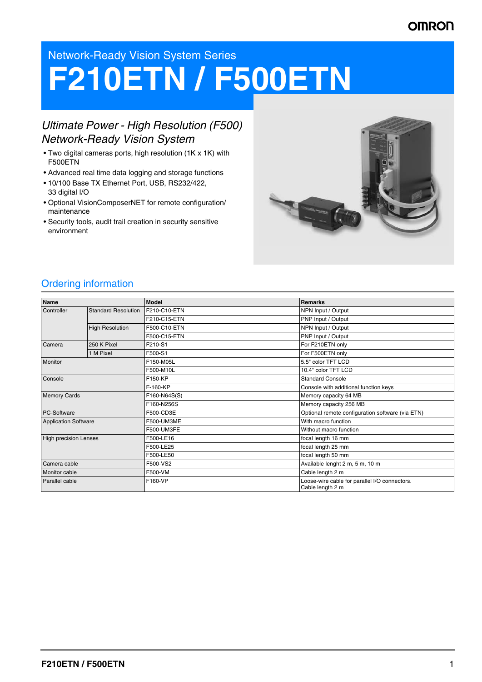# **OMRON**

# Network-Ready Vision System Series

# **F210ETN / F500ETN**

# *Ultimate Power - High Resolution (F500) Network-Ready Vision System*

- Two digital cameras ports, high resolution (1K x 1K) with F500ETN
- Advanced real time data logging and storage functions
- 10/100 Base TX Ethernet Port, USB, RS232/422, 33 digital I/O
- Optional VisionComposerNET for remote configuration/ maintenance
- Security tools, audit trail creation in security sensitive environment



# Ordering information

| Name                         |                            | <b>Model</b> | <b>Remarks</b>                                                    |
|------------------------------|----------------------------|--------------|-------------------------------------------------------------------|
| Controller                   | <b>Standard Resolution</b> | F210-C10-ETN | NPN Input / Output                                                |
|                              |                            | F210-C15-ETN | PNP Input / Output                                                |
|                              | <b>High Resolution</b>     | F500-C10-ETN | NPN Input / Output                                                |
|                              |                            | F500-C15-ETN | PNP Input / Output                                                |
| Camera                       | 250 K Pixel                | F210-S1      | For F210ETN only                                                  |
|                              | 1 M Pixel                  | F500-S1      | For F500ETN only                                                  |
| Monitor                      |                            | F150-M05L    | 5.5" color TFT LCD                                                |
|                              |                            | F500-M10L    | 10.4" color TFT LCD                                               |
| Console                      |                            | F150-KP      | <b>Standard Console</b>                                           |
|                              |                            | F-160-KP     | Console with additional function keys                             |
| <b>Memory Cards</b>          |                            | F160-N64S(S) | Memory capacity 64 MB                                             |
|                              |                            | F160-N256S   | Memory capacity 256 MB                                            |
| PC-Software                  |                            | F500-CD3E    | Optional remote configuration software (via ETN)                  |
| <b>Application Software</b>  |                            | F500-UM3ME   | With macro function                                               |
|                              |                            | F500-UM3FE   | Without macro function                                            |
| <b>High precision Lenses</b> |                            | F500-LE16    | focal length 16 mm                                                |
|                              |                            | F500-LE25    | focal length 25 mm                                                |
|                              |                            | F500-LE50    | focal length 50 mm                                                |
| Camera cable                 |                            | F500-VS2     | Available lenght 2 m, 5 m, 10 m                                   |
| Monitor cable                |                            | F500-VM      | Cable length 2 m                                                  |
| Parallel cable               |                            | F160-VP      | Loose-wire cable for parallel I/O connectors.<br>Cable length 2 m |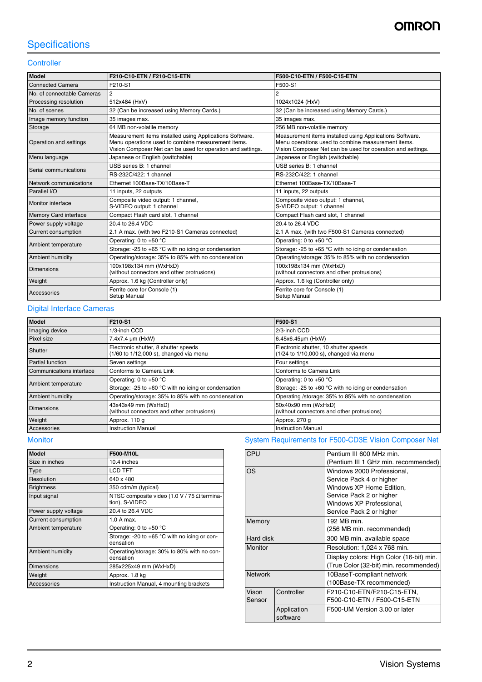# **Specifications**

## **Controller**

| <b>Model</b>                                                                              | F210-C10-ETN / F210-C15-ETN                                                                                                                                                   | F500-C10-ETN / F500-C15-ETN                                                                                                                                                   |
|-------------------------------------------------------------------------------------------|-------------------------------------------------------------------------------------------------------------------------------------------------------------------------------|-------------------------------------------------------------------------------------------------------------------------------------------------------------------------------|
| F210-S1<br><b>Connected Camera</b>                                                        |                                                                                                                                                                               | F500-S1                                                                                                                                                                       |
| No. of connectable Cameras                                                                | $\overline{2}$                                                                                                                                                                | $\overline{c}$                                                                                                                                                                |
| Processing resolution                                                                     | 512x484 (HxV)                                                                                                                                                                 | 1024x1024 (HxV)                                                                                                                                                               |
| No. of scenes                                                                             | 32 (Can be increased using Memory Cards.)                                                                                                                                     | 32 (Can be increased using Memory Cards.)                                                                                                                                     |
| 35 images max.<br>Image memory function                                                   |                                                                                                                                                                               | 35 images max.                                                                                                                                                                |
| Storage                                                                                   | 64 MB non-volatile memory                                                                                                                                                     | 256 MB non-volatile memorv                                                                                                                                                    |
| Operation and settings                                                                    | Measurement items installed using Applications Software.<br>Menu operations used to combine measurement items.<br>Vision Composer Net can be used for operation and settings. | Measurement items installed using Applications Software.<br>Menu operations used to combine measurement items.<br>Vision Composer Net can be used for operation and settings. |
| Menu language                                                                             | Japanese or English (switchable)                                                                                                                                              | Japanese or English (switchable)                                                                                                                                              |
| Serial communications                                                                     | USB series B: 1 channel                                                                                                                                                       | USB series B: 1 channel                                                                                                                                                       |
|                                                                                           | RS-232C/422: 1 channel                                                                                                                                                        | RS-232C/422: 1 channel                                                                                                                                                        |
| Network communications                                                                    | Ethernet 100Base-TX/10Base-T                                                                                                                                                  | Ethernet 100Base-TX/10Base-T                                                                                                                                                  |
| Parallel I/O                                                                              | 11 inputs, 22 outputs                                                                                                                                                         | 11 inputs, 22 outputs                                                                                                                                                         |
| Monitor interface                                                                         | Composite video output: 1 channel,<br>S-VIDEO output: 1 channel                                                                                                               | Composite video output: 1 channel,<br>S-VIDEO output: 1 channel                                                                                                               |
| Compact Flash card slot, 1 channel<br>Memory Card interface                               |                                                                                                                                                                               | Compact Flash card slot, 1 channel                                                                                                                                            |
| Power supply voltage                                                                      | 20.4 to 26.4 VDC                                                                                                                                                              | 20.4 to 26.4 VDC                                                                                                                                                              |
| <b>Current consumption</b>                                                                | 2.1 A max. (with two F210-S1 Cameras connected)                                                                                                                               | 2.1 A max. (with two F500-S1 Cameras connected)                                                                                                                               |
| Ambient temperature                                                                       | Operating: 0 to +50 $^{\circ}$ C                                                                                                                                              | Operating: 0 to +50 $^{\circ}$ C                                                                                                                                              |
|                                                                                           | Storage: -25 to +65 $\degree$ C with no icing or condensation                                                                                                                 | Storage: -25 to +65 $\degree$ C with no icing or condensation                                                                                                                 |
| Ambient humidity                                                                          | Operating/storage: 35% to 85% with no condensation                                                                                                                            | Operating/storage: 35% to 85% with no condensation                                                                                                                            |
| 100x198x134 mm (WxHxD)<br><b>Dimensions</b><br>(without connectors and other protrusions) |                                                                                                                                                                               | 100x198x134 mm (WxHxD)<br>(without connectors and other protrusions)                                                                                                          |
| Weight                                                                                    | Approx. 1.6 kg (Controller only)                                                                                                                                              | Approx. 1.6 kg (Controller only)                                                                                                                                              |
| Accessories                                                                               | Ferrite core for Console (1)<br>Setup Manual                                                                                                                                  | Ferrite core for Console (1)<br>Setup Manual                                                                                                                                  |

#### Digital Interface Cameras

| <b>Model</b>                                                                  | F210-S1                                                                        | F500-S1                                                                         |
|-------------------------------------------------------------------------------|--------------------------------------------------------------------------------|---------------------------------------------------------------------------------|
| Imaging device<br>1/3-inch CCD                                                |                                                                                | 2/3-inch CCD                                                                    |
| Pixel size<br>7.4x7.4 µm (HxW)                                                |                                                                                | 6.45x6.45µm (HxW)                                                               |
| Shutter                                                                       | Electronic shutter, 8 shutter speeds<br>(1/60 to 1/12,000 s), changed via menu | Electronic shutter, 10 shutter speeds<br>(1/24 to 1/10,000 s), changed via menu |
| Partial function                                                              | Seven settings                                                                 | Four settings                                                                   |
| Communications interface                                                      | Conforms to Camera Link                                                        | Conforms to Camera Link                                                         |
|                                                                               | Operating: 0 to $+50$ °C                                                       | Operating: 0 to +50 $^{\circ}$ C                                                |
| Ambient temperature                                                           | Storage: -25 to +60 °C with no icing or condensation                           | Storage: -25 to +60 $^{\circ}$ C with no icing or condensation                  |
| Operating/storage: 35% to 85% with no condensation<br><b>Ambient humidity</b> |                                                                                | Operating /storage: 35% to 85% with no condensation                             |
| <b>Dimensions</b>                                                             | 43x43x49 mm (WxHxD)<br>(without connectors and other protrusions)              | 50x40x90 mm (WxHxD)<br>(without connectors and other protrusions)               |
| Weight<br>Approx. 110 g                                                       |                                                                                | Approx. 270 g                                                                   |
| <b>Instruction Manual</b><br>Accessories                                      |                                                                                | <b>Instruction Manual</b>                                                       |

| <b>Model</b>         | F500-M10L                                                            |
|----------------------|----------------------------------------------------------------------|
| Size in inches       | 10.4 inches                                                          |
| Type                 | LCD TFT                                                              |
| Resolution           | 640 x 480                                                            |
| <b>Brightness</b>    | 350 cdm/m (typical)                                                  |
| Input signal         | NTSC composite video (1.0 V / 75 $\Omega$ termina-<br>tion), S-VIDEO |
| Power supply voltage | 20.4 to 26.4 VDC                                                     |
| Current consumption  | $1.0$ A max.                                                         |
| Ambient temperature  | Operating: 0 to +50 $^{\circ}$ C                                     |
|                      | Storage: -20 to +65 $\degree$ C with no icing or con-<br>densation   |
| Ambient humidity     | Operating/storage: 30% to 80% with no con-<br>densation              |
| <b>Dimensions</b>    | 285x225x49 mm (WxHxD)                                                |
| Weight               | Approx. 1.8 kg                                                       |
| Accessories          | Instruction Manual, 4 mounting brackets                              |

# Monitor Monitor System Requirements for F500-CD3E Vision Composer Net

|                         | Pentium III 600 MHz min.                 |
|-------------------------|------------------------------------------|
|                         | (Pentium III 1 GHz min. recommended)     |
|                         | Windows 2000 Professional.               |
|                         | Service Pack 4 or higher                 |
|                         | Windows XP Home Edition,                 |
|                         | Service Pack 2 or higher                 |
|                         | Windows XP Professional,                 |
|                         | Service Pack 2 or higher                 |
|                         | 192 MB min.                              |
|                         | (256 MB min. recommended)                |
|                         | 300 MB min. available space              |
|                         | Resolution: 1,024 x 768 min.             |
|                         | Display colors: High Color (16-bit) min. |
|                         | (True Color (32-bit) min. recommended)   |
|                         | 10BaseT-compliant network                |
|                         | (100Base-TX recommended)                 |
| Controller              | F210-C10-ETN/F210-C15-ETN,               |
|                         | F500-C10-ETN / F500-C15-ETN              |
| Application<br>software | F500-UM Version 3.00 or later            |
|                         | Hard disk                                |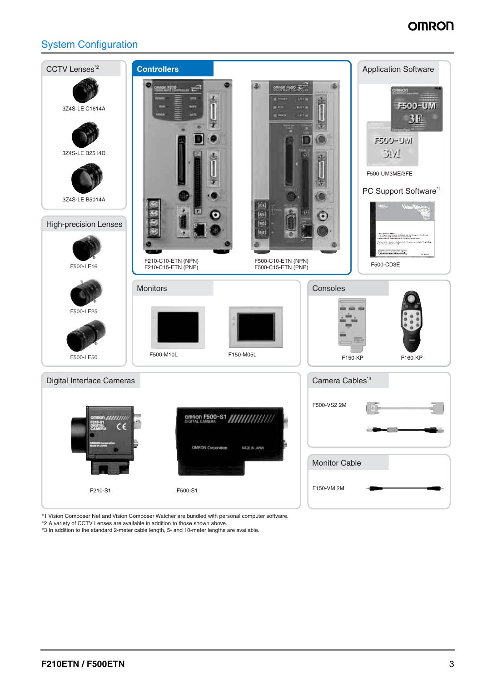# **OMRON**

# System Configuration



\*1 Vision Composer Net and Vision Composer Watcher are bundled with personal computer software.

\*2 A variety of CCTV Lenses are available in addition to those shown above.

\*3 In addition to the standard 2-meter cable length, 5- and 10-meter lengths are available.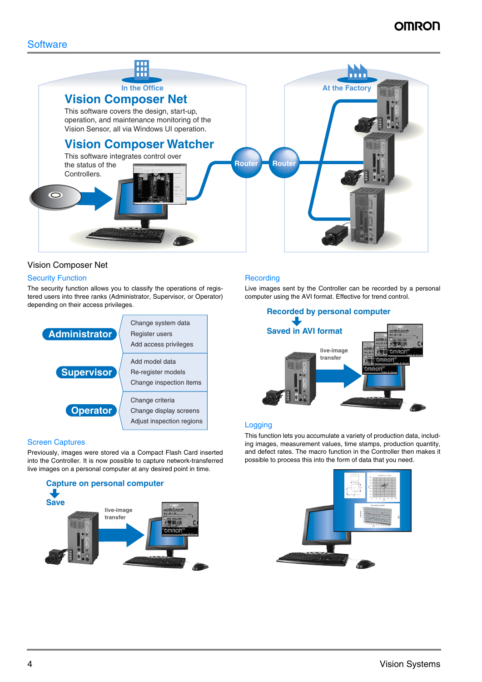

## Vision Composer Net

#### **Security Function**

The security function allows you to classify the operations of registered users into three ranks (Administrator, Supervisor, or Operator) depending on their access privileges.



#### Screen Captures

Previously, images were stored via a Compact Flash Card inserted into the Controller. It is now possible to capture network-transferred live images on a personal computer at any desired point in time.



#### **Recording**

Live images sent by the Controller can be recorded by a personal computer using the AVI format. Effective for trend control.



#### **Logging**

This function lets you accumulate a variety of production data, including images, measurement values, time stamps, production quantity, and defect rates. The macro function in the Controller then makes it possible to process this into the form of data that you need.

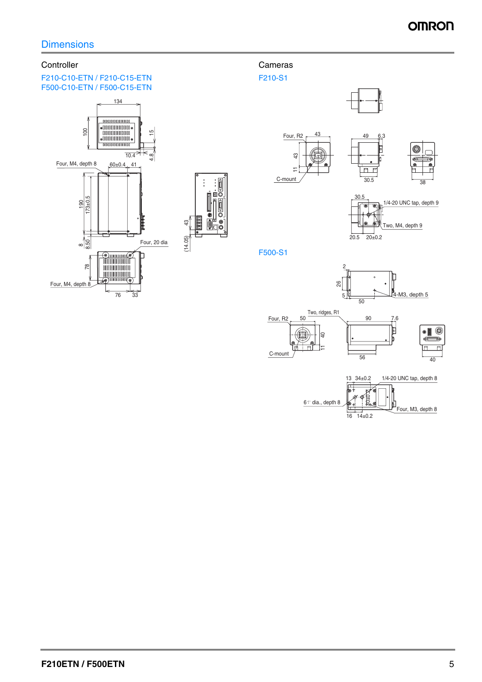# **Controller**

#### F210-C10-ETN / F210-C15-ETN F500-C10-ETN / F500-C15-ETN



# Cameras

F210-S1



F500-S1



C-mount